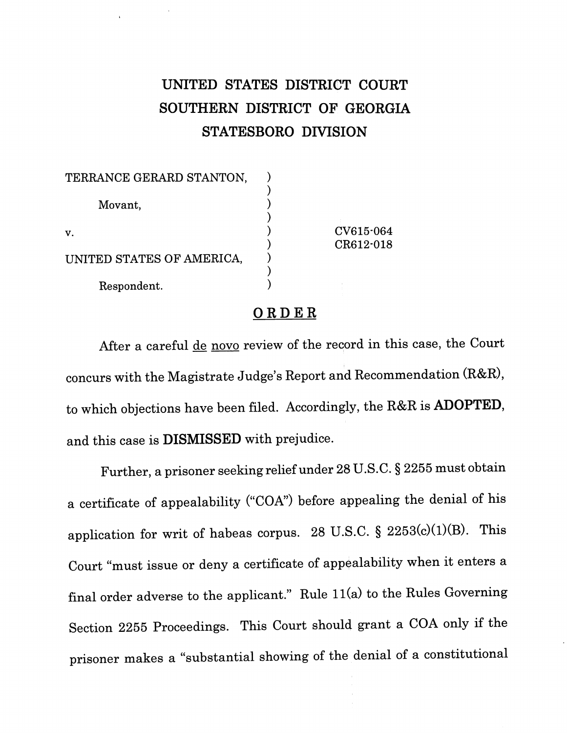## *UNITED STATES DISTRICT COURT SOUTHERN DISTRICT OF GEORGIA STATESBORO DIVISION*

| TERRANCE GERARD STANTON,  |                        |
|---------------------------|------------------------|
| Movant,                   |                        |
| v.                        | CV615.064<br>CR612-018 |
| UNITED STATES OF AMERICA, |                        |
| Respondent.               |                        |

## *ORDER*

After a careful de novo review of the record in this case, the Court concurs with the Magistrate Judge's Report and Recommendation (R&R), to which objections have been filed. Accordingly, the R&R is *ADOPTED,* and this case is *DISMISSED* with prejudice.

Further, a prisoner seeking relief under 28 U.S.C. § 2255 must obtain a certificate of appealability ("COA") before appealing the denial of his application for writ of habeas corpus. 28 U.S.C. § 2253(c)(1)(B). This Court "must issue or deny a certificate of appealability when it enters a final order adverse to the applicant." Rule 11(a) to the Rules Governing Section 2255 Proceedings. This Court should grant a COA only if the prisoner makes a "substantial showing of the denial of a constitutional